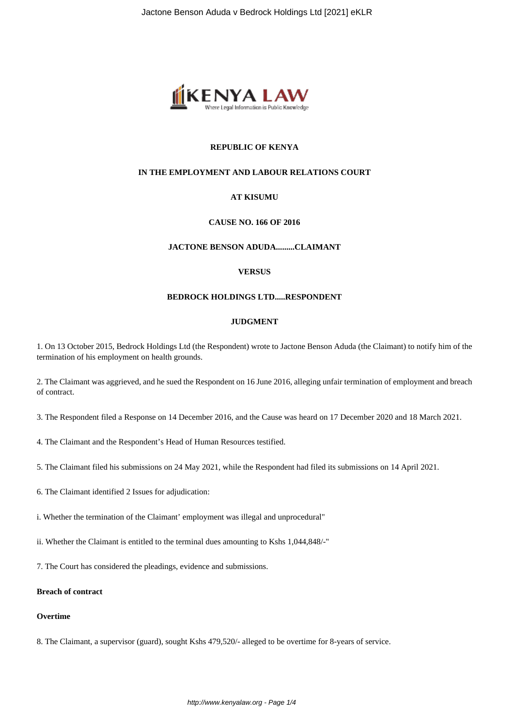

# **REPUBLIC OF KENYA**

#### **IN THE EMPLOYMENT AND LABOUR RELATIONS COURT**

#### **AT KISUMU**

# **CAUSE NO. 166 OF 2016**

## **JACTONE BENSON ADUDA.........CLAIMANT**

#### **VERSUS**

#### **BEDROCK HOLDINGS LTD.....RESPONDENT**

#### **JUDGMENT**

1. On 13 October 2015, Bedrock Holdings Ltd (the Respondent) wrote to Jactone Benson Aduda (the Claimant) to notify him of the termination of his employment on health grounds.

2. The Claimant was aggrieved, and he sued the Respondent on 16 June 2016, alleging unfair termination of employment and breach of contract.

- 3. The Respondent filed a Response on 14 December 2016, and the Cause was heard on 17 December 2020 and 18 March 2021.
- 4. The Claimant and the Respondent's Head of Human Resources testified.
- 5. The Claimant filed his submissions on 24 May 2021, while the Respondent had filed its submissions on 14 April 2021.
- 6. The Claimant identified 2 Issues for adjudication:
- i. Whether the termination of the Claimant' employment was illegal and unprocedural"
- ii. Whether the Claimant is entitled to the terminal dues amounting to Kshs 1,044,848/-"
- 7. The Court has considered the pleadings, evidence and submissions.

# **Breach of contract**

# **Overtime**

8. The Claimant, a supervisor (guard), sought Kshs 479,520/- alleged to be overtime for 8-years of service.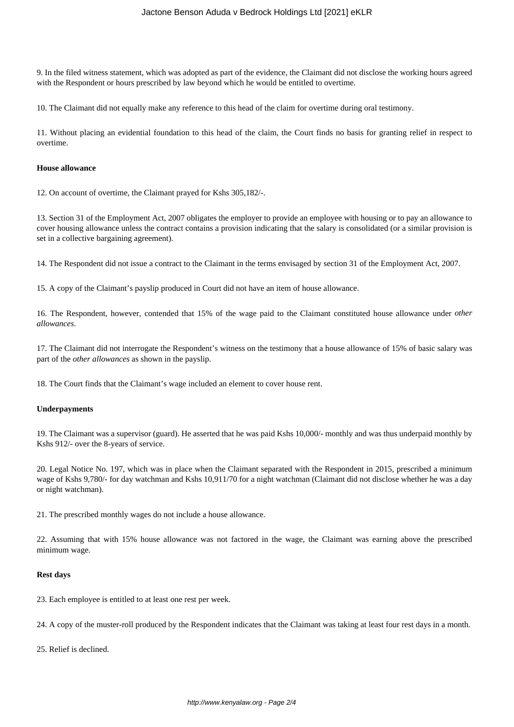9. In the filed witness statement, which was adopted as part of the evidence, the Claimant did not disclose the working hours agreed with the Respondent or hours prescribed by law beyond which he would be entitled to overtime.

10. The Claimant did not equally make any reference to this head of the claim for overtime during oral testimony.

11. Without placing an evidential foundation to this head of the claim, the Court finds no basis for granting relief in respect to overtime.

### **House allowance**

12. On account of overtime, the Claimant prayed for Kshs 305,182/-.

13. Section 31 of the Employment Act, 2007 obligates the employer to provide an employee with housing or to pay an allowance to cover housing allowance unless the contract contains a provision indicating that the salary is consolidated (or a similar provision is set in a collective bargaining agreement).

14. The Respondent did not issue a contract to the Claimant in the terms envisaged by section 31 of the Employment Act, 2007.

15. A copy of the Claimant's payslip produced in Court did not have an item of house allowance.

16. The Respondent, however, contended that 15% of the wage paid to the Claimant constituted house allowance under *other allowances*.

17. The Claimant did not interrogate the Respondent's witness on the testimony that a house allowance of 15% of basic salary was part of the *other allowances* as shown in the payslip.

18. The Court finds that the Claimant's wage included an element to cover house rent.

#### **Underpayments**

19. The Claimant was a supervisor (guard). He asserted that he was paid Kshs 10,000/- monthly and was thus underpaid monthly by Kshs 912/- over the 8-years of service.

20. Legal Notice No. 197, which was in place when the Claimant separated with the Respondent in 2015, prescribed a minimum wage of Kshs 9,780/- for day watchman and Kshs 10,911/70 for a night watchman (Claimant did not disclose whether he was a day or night watchman).

21. The prescribed monthly wages do not include a house allowance.

22. Assuming that with 15% house allowance was not factored in the wage, the Claimant was earning above the prescribed minimum wage.

#### **Rest days**

23. Each employee is entitled to at least one rest per week.

24. A copy of the muster-roll produced by the Respondent indicates that the Claimant was taking at least four rest days in a month.

25. Relief is declined.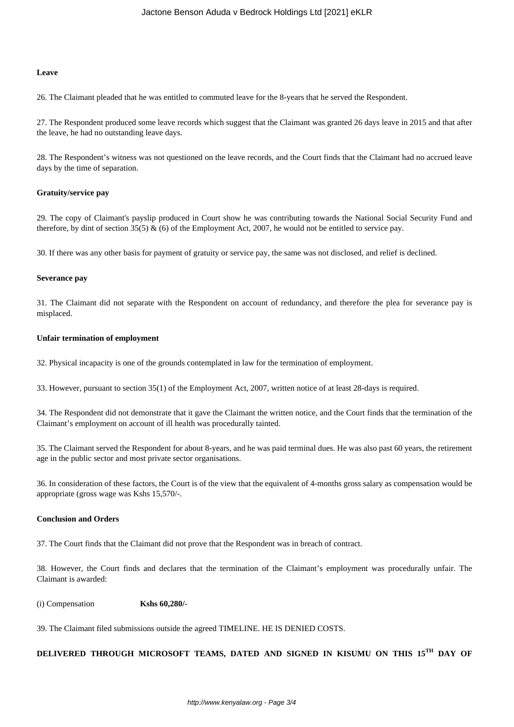#### **Leave**

26. The Claimant pleaded that he was entitled to commuted leave for the 8-years that he served the Respondent.

27. The Respondent produced some leave records which suggest that the Claimant was granted 26 days leave in 2015 and that after the leave, he had no outstanding leave days.

28. The Respondent's witness was not questioned on the leave records, and the Court finds that the Claimant had no accrued leave days by the time of separation.

#### **Gratuity/service pay**

29. The copy of Claimant's payslip produced in Court show he was contributing towards the National Social Security Fund and therefore, by dint of section 35(5)  $\&$  (6) of the Employment Act, 2007, he would not be entitled to service pay.

30. If there was any other basis for payment of gratuity or service pay, the same was not disclosed, and relief is declined.

#### **Severance pay**

31. The Claimant did not separate with the Respondent on account of redundancy, and therefore the plea for severance pay is misplaced.

#### **Unfair termination of employment**

32. Physical incapacity is one of the grounds contemplated in law for the termination of employment.

33. However, pursuant to section 35(1) of the Employment Act, 2007, written notice of at least 28-days is required.

34. The Respondent did not demonstrate that it gave the Claimant the written notice, and the Court finds that the termination of the Claimant's employment on account of ill health was procedurally tainted.

35. The Claimant served the Respondent for about 8-years, and he was paid terminal dues. He was also past 60 years, the retirement age in the public sector and most private sector organisations.

36. In consideration of these factors, the Court is of the view that the equivalent of 4-months gross salary as compensation would be appropriate (gross wage was Kshs 15,570/-.

#### **Conclusion and Orders**

37. The Court finds that the Claimant did not prove that the Respondent was in breach of contract.

38. However, the Court finds and declares that the termination of the Claimant's employment was procedurally unfair. The Claimant is awarded:

# (i) Compensation **Kshs 60,280/-**

39. The Claimant filed submissions outside the agreed TIMELINE. HE IS DENIED COSTS.

# **DELIVERED THROUGH MICROSOFT TEAMS, DATED AND SIGNED IN KISUMU ON THIS 15TH DAY OF**